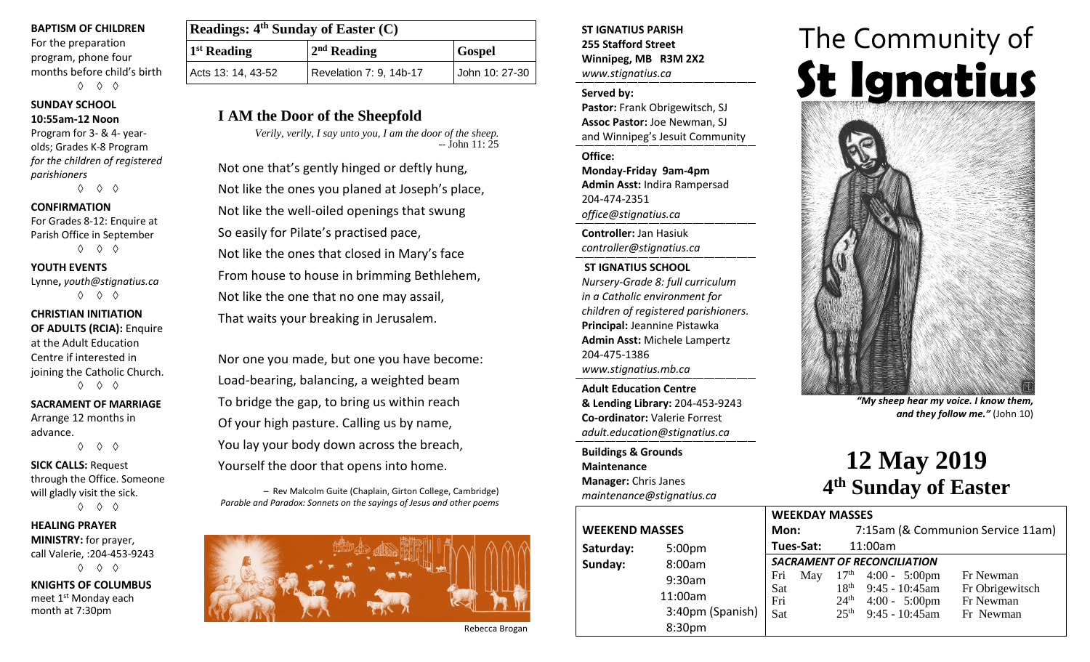#### **BAPTISM OF CHILDREN**

For the preparation program, phone four months before child's birth ◊ ◊ ◊

**SUNDAY SCHOOL**

### **10:55am-12 Noon**

Program for 3- & 4- yearolds; Grades K-8 Program *for the children of registered parishioners*

◊ ◊ ◊

#### **CONFIRMATION**

For Grades 8-12: Enquire at Parish Office in September ◊ ◊ ◊

#### **YOUTH EVENTS**

Lynne**,** *youth@stignatius.ca* ◊ ◊ ◊

#### **CHRISTIAN INITIATION OF ADULTS (RCIA):** Enquire at the Adult Education Centre if interested in joining the Catholic Church. ◊ ◊ ◊

**SACRAMENT OF MARRIAGE** Arrange 12 months in

advance. ◊ ◊ ◊

**SICK CALLS:** Request through the Office. Someone will gladly visit the sick. ◊ ◊ ◊

**HEALING PRAYER MINISTRY:** for prayer, call Valerie, :204-453-9243 ◊ ◊ ◊

**KNIGHTS OF COLUMBUS** meet 1<sup>st</sup> Monday each month at 7:30pm

| Readings: $4th$ Sunday of Easter (C) |                         |                |  |
|--------------------------------------|-------------------------|----------------|--|
| $1st$ Reading                        | $2nd$ Reading           | <b>Gospel</b>  |  |
| Acts 13: 14, 43-52                   | Revelation 7: 9, 14b-17 | John 10: 27-30 |  |

# **I AM the Door of the Sheepfold**

*Verily, verily, I say unto you, I am the door of the sheep.* -- John 11: 25

Not one that's gently hinged or deftly hung, Not like the ones you planed at Joseph's place, Not like the well-oiled openings that swung So easily for Pilate's practised pace, Not like the ones that closed in Mary's face From house to house in brimming Bethlehem, Not like the one that no one may assail, That waits your breaking in Jerusalem.

Nor one you made, but one you have become: Load-bearing, balancing, a weighted beam To bridge the gap, to bring us within reach Of your high pasture. Calling us by name, You lay your body down across the breach, Yourself the door that opens into home.

 – Rev Malcolm Guite (Chaplain, Girton College, Cambridge) *Parable and Paradox: Sonnets on the sayings of Jesus and other poems*



**ST IGNATIUS PARISH 255 Stafford Street Winnipeg, MB R3M 2X2** *www.stignatius.ca*

#### **Served by:**

**Pastor:** Frank Obrigewitsch, SJ **Assoc Pastor:** Joe Newman, SJ and Winnipeg's Jesuit Community

**Office:**

**Monday-Friday 9am-4pm Admin Asst:** Indira Rampersad 204-474-2351 *office@stignatius.ca*

**Controller:** Jan Hasiuk *controller@stignatius.ca*

#### **ST IGNATIUS SCHOOL** *Nursery-Grade 8: full curriculum in a Catholic environment for children of registered parishioners.* **Principal:** Jeannine Pistawka **Admin Asst:** Michele Lampertz 204-475-1386 *www.stignatius.mb.ca*

**Adult Education Centre & Lending Library:** 204-453-9243 **Co-ordinator:** Valerie Forrest *adult.education@stignatius.ca*

**Buildings & Grounds Maintenance Manager:** Chris Janes *maintenance@stignatius.ca*

| <b>WEEKEND MASSES</b> | Mon:               |                             |  |
|-----------------------|--------------------|-----------------------------|--|
| Saturday:             | 5:00 <sub>pm</sub> | Tues-Sat:<br><b>SACRAME</b> |  |
| Sunday:               | 8:00am             |                             |  |
|                       | 9:30am             | May<br>Fri                  |  |
|                       | 11:00am            | Sat<br>Fri                  |  |
|                       | 3:40pm (Spanish)   | Sat                         |  |
|                       | 8:30pm             |                             |  |

# The Community of **St Ignatius**



*"My sheep hear my voice. I know them, and they follow me."* (John 10)

# **12 May 2019 4th Sunday of Easter**

|      |      | <b>WEEKDAY MASSES</b> |                                   |                                    |                 |  |
|------|------|-----------------------|-----------------------------------|------------------------------------|-----------------|--|
|      | Mon: |                       | 7:15am (& Communion Service 11am) |                                    |                 |  |
|      |      | Tues-Sat:             |                                   | 11:00am                            |                 |  |
|      |      |                       |                                   | <b>SACRAMENT OF RECONCILIATION</b> |                 |  |
|      | Fri  | May                   |                                   | $17th$ 4:00 - 5:00pm               | Fr Newman       |  |
|      | Sat  |                       | 18 <sup>th</sup>                  | $9:45 - 10:45$ am                  | Fr Obrigewitsch |  |
|      | Fri  |                       | 24 <sup>th</sup>                  | $4:00 - 5:00 \text{pm}$            | Fr Newman       |  |
| ish) | Sat  |                       | 25 <sup>th</sup>                  | $9:45 - 10:45$ am                  | Fr Newman       |  |
|      |      |                       |                                   |                                    |                 |  |